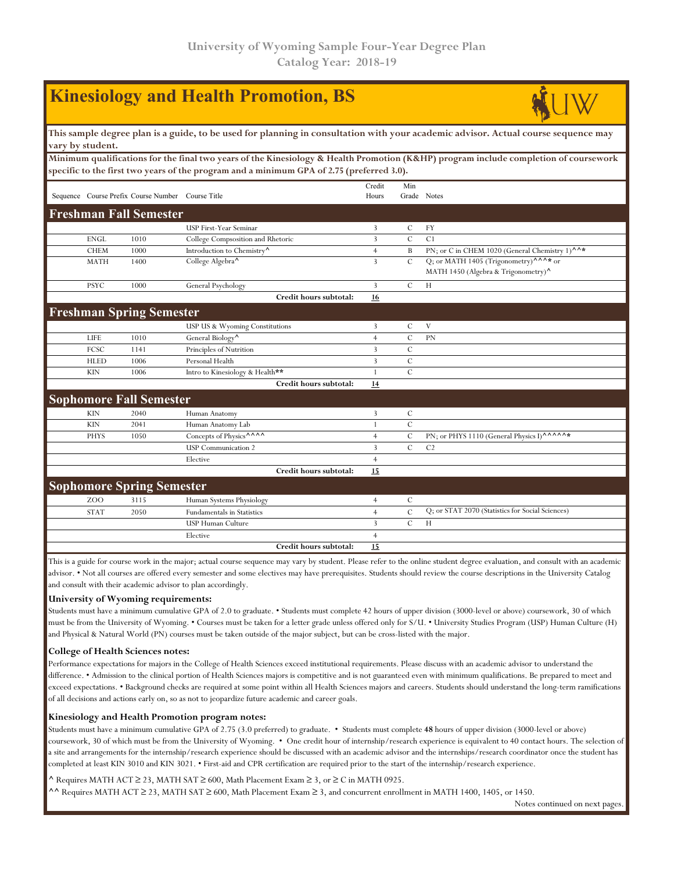|                                                                                                                                                                                                                                   |                                                                                                                                                        |                                                   | <b>Kinesiology and Health Promotion, BS</b> |                 |                    |                                                                                                      |  |  |  |  |  |  |  |
|-----------------------------------------------------------------------------------------------------------------------------------------------------------------------------------------------------------------------------------|--------------------------------------------------------------------------------------------------------------------------------------------------------|---------------------------------------------------|---------------------------------------------|-----------------|--------------------|------------------------------------------------------------------------------------------------------|--|--|--|--|--|--|--|
|                                                                                                                                                                                                                                   | This sample degree plan is a guide, to be used for planning in consultation with your academic advisor. Actual course sequence may<br>vary by student. |                                                   |                                             |                 |                    |                                                                                                      |  |  |  |  |  |  |  |
| Minimum qualifications for the final two years of the Kinesiology & Health Promotion (K&HP) program include completion of coursework<br>specific to the first two years of the program and a minimum GPA of 2.75 (preferred 3.0). |                                                                                                                                                        |                                                   |                                             |                 |                    |                                                                                                      |  |  |  |  |  |  |  |
|                                                                                                                                                                                                                                   |                                                                                                                                                        | Sequence Course Prefix Course Number Course Title |                                             | Credit<br>Hours | Min<br>Grade Notes |                                                                                                      |  |  |  |  |  |  |  |
|                                                                                                                                                                                                                                   |                                                                                                                                                        | <b>Freshman Fall Semester</b>                     |                                             |                 |                    |                                                                                                      |  |  |  |  |  |  |  |
|                                                                                                                                                                                                                                   |                                                                                                                                                        |                                                   | USP First-Year Seminar                      | 3               | $\cal C$           | FY                                                                                                   |  |  |  |  |  |  |  |
|                                                                                                                                                                                                                                   | <b>ENGL</b>                                                                                                                                            | 1010                                              | College Compsosition and Rhetoric           | $\overline{3}$  | $\overline{C}$     | C1                                                                                                   |  |  |  |  |  |  |  |
|                                                                                                                                                                                                                                   | <b>CHEM</b>                                                                                                                                            | 1000                                              | Introduction to Chemistry <sup>^</sup>      | $\overline{4}$  | B                  | PN; or C in CHEM 1020 (General Chemistry 1) $^{\wedge \wedge *}$                                     |  |  |  |  |  |  |  |
|                                                                                                                                                                                                                                   | <b>MATH</b>                                                                                                                                            | 1400                                              | College Algebra <sup>^</sup>                | $\overline{3}$  | $\mathbf C$        | Q; or MATH 1405 (Trigonometry) <sup>^^^*</sup> or<br>MATH 1450 (Algebra & Trigonometry) <sup>^</sup> |  |  |  |  |  |  |  |
|                                                                                                                                                                                                                                   | <b>PSYC</b>                                                                                                                                            | 1000                                              | General Psychology                          | 3               | С                  | Н                                                                                                    |  |  |  |  |  |  |  |
|                                                                                                                                                                                                                                   |                                                                                                                                                        |                                                   | Credit hours subtotal:                      | 16              |                    |                                                                                                      |  |  |  |  |  |  |  |
|                                                                                                                                                                                                                                   |                                                                                                                                                        | <b>Freshman Spring Semester</b>                   |                                             |                 |                    |                                                                                                      |  |  |  |  |  |  |  |
|                                                                                                                                                                                                                                   |                                                                                                                                                        |                                                   | USP US & Wyoming Constitutions              | 3               | C                  | V                                                                                                    |  |  |  |  |  |  |  |
|                                                                                                                                                                                                                                   | <b>LIFE</b>                                                                                                                                            | 1010                                              | General Biology <sup>^</sup>                | $\overline{4}$  | $\mathcal{C}$      | PN                                                                                                   |  |  |  |  |  |  |  |
|                                                                                                                                                                                                                                   | FCSC                                                                                                                                                   | 1141                                              | Principles of Nutrition                     | $\mathbf{3}$    | $\mathbf C$        |                                                                                                      |  |  |  |  |  |  |  |
|                                                                                                                                                                                                                                   | <b>HLED</b>                                                                                                                                            | 1006                                              | Personal Health                             | $\overline{3}$  | $\mathcal{C}$      |                                                                                                      |  |  |  |  |  |  |  |
|                                                                                                                                                                                                                                   | <b>KIN</b>                                                                                                                                             | 1006                                              | Intro to Kinesiology & Health**             | 1               | $\mathcal{C}$      |                                                                                                      |  |  |  |  |  |  |  |
|                                                                                                                                                                                                                                   |                                                                                                                                                        |                                                   | Credit hours subtotal:                      | 14              |                    |                                                                                                      |  |  |  |  |  |  |  |
|                                                                                                                                                                                                                                   |                                                                                                                                                        | <b>Sophomore Fall Semester</b>                    |                                             |                 |                    |                                                                                                      |  |  |  |  |  |  |  |
|                                                                                                                                                                                                                                   | <b>KIN</b>                                                                                                                                             | 2040                                              | Human Anatomy                               | $\overline{3}$  | С                  |                                                                                                      |  |  |  |  |  |  |  |
|                                                                                                                                                                                                                                   | <b>KIN</b>                                                                                                                                             | 2041                                              | Human Anatomy Lab                           | $\mathbf{1}$    | $\mathcal{C}$      |                                                                                                      |  |  |  |  |  |  |  |
|                                                                                                                                                                                                                                   | <b>PHYS</b>                                                                                                                                            | 1050                                              | Concepts of Physics^^^^^                    | $\overline{4}$  | С                  | PN; or PHYS 1110 (General Physics I)^^^^^^*                                                          |  |  |  |  |  |  |  |
|                                                                                                                                                                                                                                   |                                                                                                                                                        |                                                   | <b>USP</b> Communication 2                  | $\overline{3}$  | $\mathcal{C}$      | C <sub>2</sub>                                                                                       |  |  |  |  |  |  |  |
|                                                                                                                                                                                                                                   |                                                                                                                                                        |                                                   | Elective                                    | $\overline{4}$  |                    |                                                                                                      |  |  |  |  |  |  |  |
|                                                                                                                                                                                                                                   |                                                                                                                                                        |                                                   | Credit hours subtotal:                      | <b>15</b>       |                    |                                                                                                      |  |  |  |  |  |  |  |
|                                                                                                                                                                                                                                   |                                                                                                                                                        | <b>Sophomore Spring Semester</b>                  |                                             |                 |                    |                                                                                                      |  |  |  |  |  |  |  |
|                                                                                                                                                                                                                                   | ZOO                                                                                                                                                    | 3115                                              | Human Systems Physiology                    | $\overline{4}$  | С                  |                                                                                                      |  |  |  |  |  |  |  |
|                                                                                                                                                                                                                                   | <b>STAT</b>                                                                                                                                            | 2050                                              | <b>Fundamentals in Statistics</b>           | $\overline{4}$  | $\mathcal{C}$      | Q; or STAT 2070 (Statistics for Social Sciences)                                                     |  |  |  |  |  |  |  |
|                                                                                                                                                                                                                                   |                                                                                                                                                        |                                                   | <b>USP Human Culture</b>                    | 3               | $\mathcal{C}$      | Н                                                                                                    |  |  |  |  |  |  |  |
|                                                                                                                                                                                                                                   |                                                                                                                                                        |                                                   | Elective                                    | $\overline{4}$  |                    |                                                                                                      |  |  |  |  |  |  |  |
|                                                                                                                                                                                                                                   |                                                                                                                                                        |                                                   | Credit hours subtotal:                      | 15              |                    |                                                                                                      |  |  |  |  |  |  |  |

This is a guide for course work in the major; actual course sequence may vary by student. Please refer to the online student degree evaluation, and consult with an academic advisor. • Not all courses are offered every semester and some electives may have prerequisites. Students should review the course descriptions in the University Catalog and consult with their academic advisor to plan accordingly.

## **University of Wyoming requirements:**

Students must have a minimum cumulative GPA of 2.0 to graduate. • Students must complete 42 hours of upper division (3000-level or above) coursework, 30 of which must be from the University of Wyoming. • Courses must be taken for a letter grade unless offered only for S/U. • University Studies Program (USP) Human Culture (H) and Physical & Natural World (PN) courses must be taken outside of the major subject, but can be cross-listed with the major.

## **College of Health Sciences notes:**

Performance expectations for majors in the College of Health Sciences exceed institutional requirements. Please discuss with an academic advisor to understand the difference. • Admission to the clinical portion of Health Sciences majors is competitive and is not guaranteed even with minimum qualifications. Be prepared to meet and exceed expectations. • Background checks are required at some point within all Health Sciences majors and careers. Students should understand the long-term ramifications of all decisions and actions early on, so as not to jeopardize future academic and career goals.

## **Kinesiology and Health Promotion program notes:**

Students must have a minimum cumulative GPA of 2.75 (3.0 preferred) to graduate. • Students must complete **48** hours of upper division (3000-level or above) coursework, 30 of which must be from the University of Wyoming. • One credit hour of internship/research experience is equivalent to 40 contact hours. The selection of a site and arrangements for the internship/research experience should be discussed with an academic advisor and the internships/research coordinator once the student has completed at least KIN 3010 and KIN 3021. • First-aid and CPR certification are required prior to the start of the internship/research experience.

## **^** Requires MATH ACT ≥ 23, MATH SAT ≥ 600, Math Placement Exam ≥ 3, or ≥ C in MATH 0925.

**^^** Requires MATH ACT ≥ 23, MATH SAT ≥ 600, Math Placement Exam ≥ 3, and concurrent enrollment in MATH 1400, 1405, or 1450.

Notes continued on next pages.